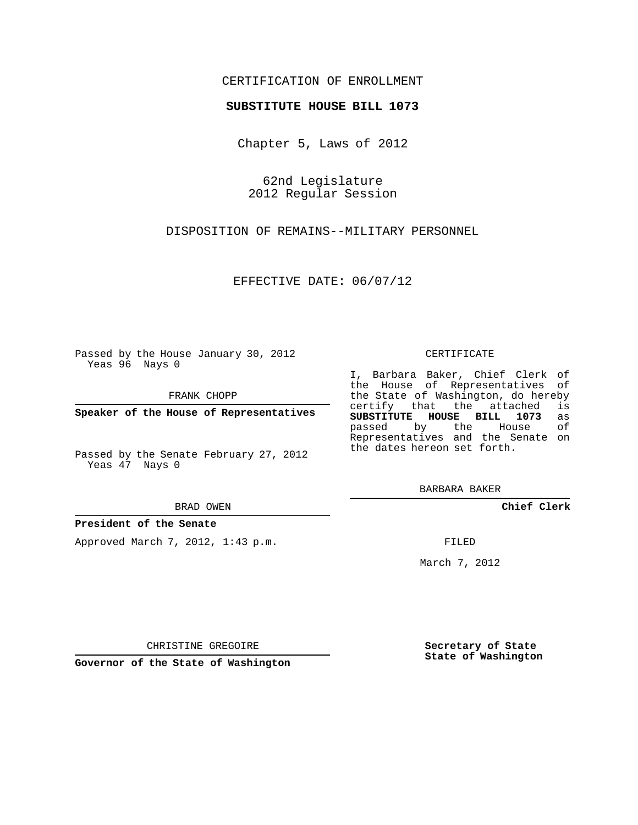# CERTIFICATION OF ENROLLMENT

## **SUBSTITUTE HOUSE BILL 1073**

Chapter 5, Laws of 2012

62nd Legislature 2012 Regular Session

DISPOSITION OF REMAINS--MILITARY PERSONNEL

EFFECTIVE DATE: 06/07/12

Passed by the House January 30, 2012 Yeas 96 Nays 0

FRANK CHOPP

**Speaker of the House of Representatives**

Passed by the Senate February 27, 2012 Yeas 47 Nays 0

#### BRAD OWEN

## **President of the Senate**

Approved March 7, 2012, 1:43 p.m.

#### CERTIFICATE

I, Barbara Baker, Chief Clerk of the House of Representatives of the State of Washington, do hereby<br>certify that the attached is certify that the attached **SUBSTITUTE HOUSE BILL 1073** as passed by the House Representatives and the Senate on the dates hereon set forth.

BARBARA BAKER

**Chief Clerk**

FILED

March 7, 2012

CHRISTINE GREGOIRE

**Governor of the State of Washington**

**Secretary of State State of Washington**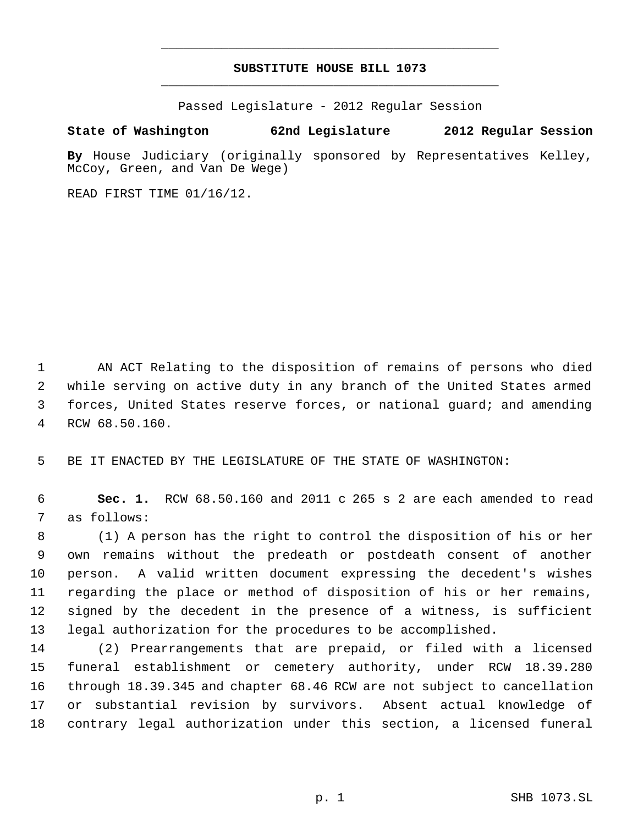# **SUBSTITUTE HOUSE BILL 1073** \_\_\_\_\_\_\_\_\_\_\_\_\_\_\_\_\_\_\_\_\_\_\_\_\_\_\_\_\_\_\_\_\_\_\_\_\_\_\_\_\_\_\_\_\_

\_\_\_\_\_\_\_\_\_\_\_\_\_\_\_\_\_\_\_\_\_\_\_\_\_\_\_\_\_\_\_\_\_\_\_\_\_\_\_\_\_\_\_\_\_

Passed Legislature - 2012 Regular Session

## **State of Washington 62nd Legislature 2012 Regular Session**

**By** House Judiciary (originally sponsored by Representatives Kelley, McCoy, Green, and Van De Wege)

READ FIRST TIME 01/16/12.

 AN ACT Relating to the disposition of remains of persons who died while serving on active duty in any branch of the United States armed forces, United States reserve forces, or national guard; and amending RCW 68.50.160.

BE IT ENACTED BY THE LEGISLATURE OF THE STATE OF WASHINGTON:

 **Sec. 1.** RCW 68.50.160 and 2011 c 265 s 2 are each amended to read as follows:

 (1) A person has the right to control the disposition of his or her own remains without the predeath or postdeath consent of another person. A valid written document expressing the decedent's wishes regarding the place or method of disposition of his or her remains, signed by the decedent in the presence of a witness, is sufficient legal authorization for the procedures to be accomplished.

 (2) Prearrangements that are prepaid, or filed with a licensed funeral establishment or cemetery authority, under RCW 18.39.280 through 18.39.345 and chapter 68.46 RCW are not subject to cancellation or substantial revision by survivors. Absent actual knowledge of contrary legal authorization under this section, a licensed funeral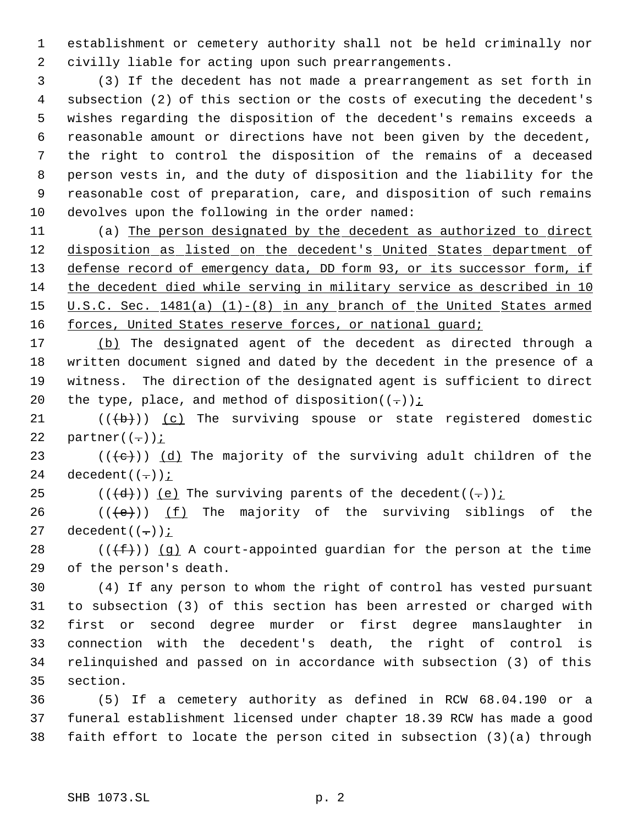establishment or cemetery authority shall not be held criminally nor civilly liable for acting upon such prearrangements.

 (3) If the decedent has not made a prearrangement as set forth in subsection (2) of this section or the costs of executing the decedent's wishes regarding the disposition of the decedent's remains exceeds a reasonable amount or directions have not been given by the decedent, the right to control the disposition of the remains of a deceased person vests in, and the duty of disposition and the liability for the reasonable cost of preparation, care, and disposition of such remains devolves upon the following in the order named:

 (a) The person designated by the decedent as authorized to direct 12 disposition as listed on the decedent's United States department of 13 defense record of emergency data, DD form 93, or its successor form, if the decedent died while serving in military service as described in 10 15 U.S.C. Sec. 1481(a) (1)-(8) in any branch of the United States armed 16 forces, United States reserve forces, or national guard;

 (b) The designated agent of the decedent as directed through a written document signed and dated by the decedent in the presence of a witness. The direction of the designated agent is sufficient to direct 20 the type, place, and method of disposition $((-))$ ;

21  $((+b))$   $(c)$  The surviving spouse or state registered domestic 22 partner $((-))$  *i* 

23 ( $(\langle e \rangle)$ ) (d) The majority of the surviving adult children of the 24 decedent $((-))$  *i* 

25 ( $(\overline{d})$ ) (e) The surviving parents of the decedent((-)):

26 ( $(\langle e \rangle)$ ) (f) The majority of the surviving siblings of the 27 decedent $((-))$  *i* 

28 ( $(\overline{f})$ ) (q) A court-appointed guardian for the person at the time of the person's death.

 (4) If any person to whom the right of control has vested pursuant to subsection (3) of this section has been arrested or charged with first or second degree murder or first degree manslaughter in connection with the decedent's death, the right of control is relinquished and passed on in accordance with subsection (3) of this section.

 (5) If a cemetery authority as defined in RCW 68.04.190 or a funeral establishment licensed under chapter 18.39 RCW has made a good faith effort to locate the person cited in subsection (3)(a) through